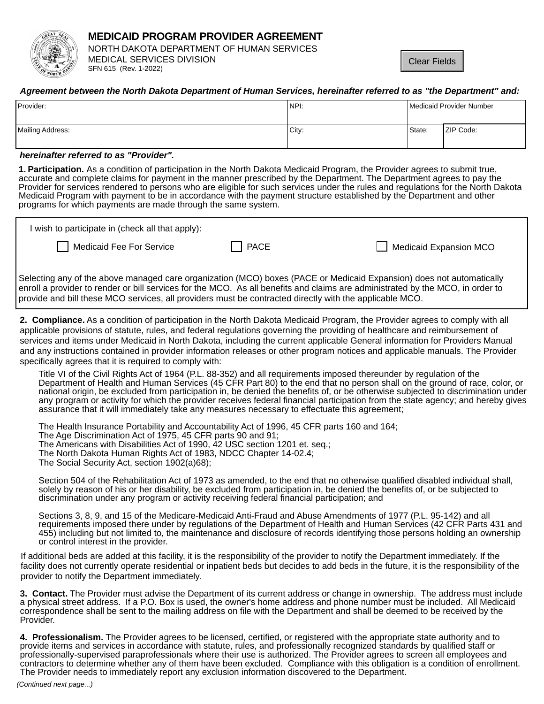

## **MEDICAID PROGRAM PROVIDER AGREEMENT**

NORTH DAKOTA DEPARTMENT OF HUMAN SERVICES MEDICAL SERVICES DIVISION SFN 615 (Rev. 1-2022)

**Clear Fields** 

## Agreement between the North Dakota Department of Human Services, hereinafter referred to as "the Department" and:

| Provider:        | NPI:  | Medicaid Provider Number |           |
|------------------|-------|--------------------------|-----------|
| Mailing Address: | City: | State:                   | ZIP Code: |

## hereinafter referred to as "Provider".

1. Participation. As a condition of participation in the North Dakota Medicaid Program, the Provider agrees to submit true, accurate and complete claims for payment in the manner prescribed by the Department. The Department agrees to pay the Provider for services rendered to persons who are eligible for such services under the rules and regulations for the North Dakota Medicaid Program with payment to be in accordance with the payment structure established by the Department and other programs for which payments are made through the same system.

| wish to participate in (check all that apply):                                                                                                                                                                                                                                                                                                                    |             |                               |  |  |  |  |
|-------------------------------------------------------------------------------------------------------------------------------------------------------------------------------------------------------------------------------------------------------------------------------------------------------------------------------------------------------------------|-------------|-------------------------------|--|--|--|--|
| Medicaid Fee For Service                                                                                                                                                                                                                                                                                                                                          | <b>PACE</b> | $\Box$ Medicaid Expansion MCO |  |  |  |  |
| Selecting any of the above managed care organization (MCO) boxes (PACE or Medicaid Expansion) does not automatically<br>enroll a provider to render or bill services for the MCO. As all benefits and claims are administrated by the MCO, in order to<br>provide and bill these MCO services, all providers must be contracted directly with the applicable MCO. |             |                               |  |  |  |  |
| 2. Compliance. As a condition of participation in the North Dakota Medicaid Program, the Provider agrees to comply with all<br>applicable provisions of statute, rules, and federal requisitions governing the providing of healthcare and reimbursement of                                                                                                       |             |                               |  |  |  |  |

services and items under Medicaid in North Dakota, including the current applicable General information for Providers Manual and any instructions contained in provider information releases or other program notices and applicable manuals. The Provider specifically agrees that it is required to comply with:

Title VI of the Civil Rights Act of 1964 (P.L. 88-352) and all requirements imposed thereunder by regulation of the Department of Health and Human Services (45 CFR Part 80) to the end that no person shall on the ground of race, color, or national origin, be excluded from participation in, be denied the benefits of, or be otherwise subjected to discrimination under any program or activity for which the provider receives federal financial participation from the state agency; and hereby gives assurance that it will immediately take any measures necessary to effectuate this agreement;

The Health Insurance Portability and Accountability Act of 1996, 45 CFR parts 160 and 164;

The Age Discrimination Act of 1975, 45 CFR parts 90 and 91;

The Americans with Disabilities Act of 1990, 42 USC section 1201 et. seq.;

The North Dakota Human Rights Act of 1983, NDCC Chapter 14-02.4;

The Social Security Act, section 1902(a)68);

Section 504 of the Rehabilitation Act of 1973 as amended, to the end that no otherwise qualified disabled individual shall, solely by reason of his or her disability, be excluded from participation in, be denied the benefits of, or be subjected to discrimination under any program or activity receiving federal financial participation; and

Sections 3, 8, 9, and 15 of the Medicare-Medicaid Anti-Fraud and Abuse Amendments of 1977 (P.L. 95-142) and all requirements imposed there under by regulations of the Department of Health and Human Services (42 CFR Parts 431 and 455) including but not limited to, the maintenance and disclosure of records identifying those persons holding an ownership or control interest in the provider.

If additional beds are added at this facility, it is the responsibility of the provider to notify the Department immediately. If the facility does not currently operate residential or inpatient beds but decides to add beds in the future, it is the responsibility of the provider to notify the Department immediately.

3. Contact. The Provider must advise the Department of its current address or change in ownership. The address must include a physical street address. If a P.O. Box is used, the owner's home address and phone number must be included. All Medicaid correspondence shall be sent to the mailing address on file with the Department and shall be deemed to be received by the Provider.

4. Professionalism. The Provider agrees to be licensed, certified, or registered with the appropriate state authority and to provide items and services in accordance with statute, rules, and professionally recognized standards by qualified staff or professionally-supervised paraprofessionals where their use is authorized. The Provider agrees to screen all employees and contractors to determine whether any of them have been excluded. Compliance with this obligation is a condition of enrollment. The Provider needs to immediately report any exclusion information discovered to the Department.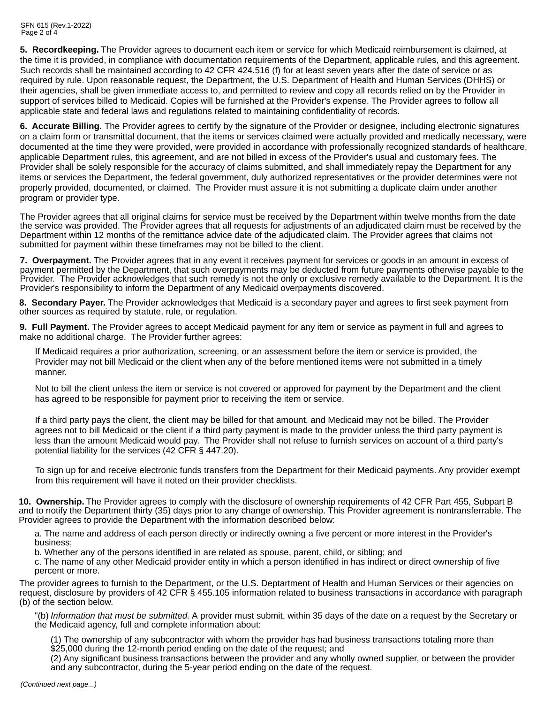5. Recordkeeping. The Provider agrees to document each item or service for which Medicaid reimbursement is claimed, at the time it is provided, in compliance with documentation requirements of the Department, applicable rules, and this agreement, Such records shall be maintained according to 42 CFR 424.516 (f) for at least seven years after the date of service or as required by rule. Upon reasonable request, the Department, the U.S. Department of Health and Human Services (DHHS) or their agencies, shall be given immediate access to, and permitted to review and copy all records relied on by the Provider in support of services billed to Medicaid. Copies will be furnished at the Provider's expense. The Provider agrees to follow all applicable state and federal laws and regulations related to maintaining confidentiality of records.

6. Accurate Billing. The Provider agrees to certify by the signature of the Provider or designee, including electronic signatures on a claim form or transmittal document, that the items or services claimed were actually provided and medically necessary, were documented at the time they were provided, were provided in accordance with professionally recognized standards of healthcare, applicable Department rules, this agreement, and are not billed in excess of the Provider's usual and customary fees. The Provider shall be solely responsible for the accuracy of claims submitted, and shall immediately repay the Department for any items or services the Department, the federal government, duly authorized representatives or the provider determines were not properly provided, documented, or claimed. The Provider must assure it is not submitting a duplicate claim under another program or provider type.

The Provider agrees that all original claims for service must be received by the Department within twelve months from the date the service was provided. The Provider agrees that all requests for adjustments of an adjudicated claim must be received by the Department within 12 months of the remittance advice date of the adjudicated claim. The Provider agrees that claims not submitted for payment within these timeframes may not be billed to the client.

7. Overpayment. The Provider agrees that in any event it receives payment for services or goods in an amount in excess of payment permitted by the Department, that such overpayments may be deducted from future payments otherwise payable to the Provider. The Provider acknowledges that such remedy is not the only or exclusive remedy available to the Department. It is the Provider's responsibility to inform the Department of any Medicaid overpayments discovered.

8. Secondary Payer. The Provider acknowledges that Medicaid is a secondary payer and agrees to first seek payment from other sources as required by statute, rule, or regulation.

9. Full Payment. The Provider agrees to accept Medicaid payment for any item or service as payment in full and agrees to make no additional charge. The Provider further agrees:

If Medicaid requires a prior authorization, screening, or an assessment before the item or service is provided, the Provider may not bill Medicaid or the client when any of the before mentioned items were not submitted in a timely manner.

Not to bill the client unless the item or service is not covered or approved for payment by the Department and the client has agreed to be responsible for payment prior to receiving the item or service.

If a third party pays the client, the client may be billed for that amount, and Medicaid may not be billed. The Provider agrees not to bill Medicaid or the client if a third party payment is made to the provider unless the third party payment is less than the amount Medicaid would pay. The Provider shall not refuse to furnish services on account of a third party's potential liability for the services (42 CFR § 447.20).

To sign up for and receive electronic funds transfers from the Department for their Medicaid payments. Any provider exempt from this requirement will have it noted on their provider checklists.

10. Ownership. The Provider agrees to comply with the disclosure of ownership requirements of 42 CFR Part 455, Subpart B and to notify the Department thirty (35) days prior to any change of ownership. This Provider agreement is nontransferrable. The Provider agrees to provide the Department with the information described below:

a. The name and address of each person directly or indirectly owning a five percent or more interest in the Provider's business;

b. Whether any of the persons identified in are related as spouse, parent, child, or sibling; and

c. The name of any other Medicaid provider entity in which a person identified in has indirect or direct ownership of five percent or more.

The provider agrees to furnish to the Department, or the U.S. Deptartment of Health and Human Services or their agencies on request, disclosure by providers of 42 CFR § 455.105 information related to business transactions in accordance with paragraph (b) of the section below.

"(b) Information that must be submitted. A provider must submit, within 35 days of the date on a request by the Secretary or the Medicaid agency, full and complete information about:

(1) The ownership of any subcontractor with whom the provider has had business transactions totaling more than \$25,000 during the 12-month period ending on the date of the request; and

(2) Any significant business transactions between the provider and any wholly owned supplier, or between the provider and any subcontractor, during the 5-year period ending on the date of the request.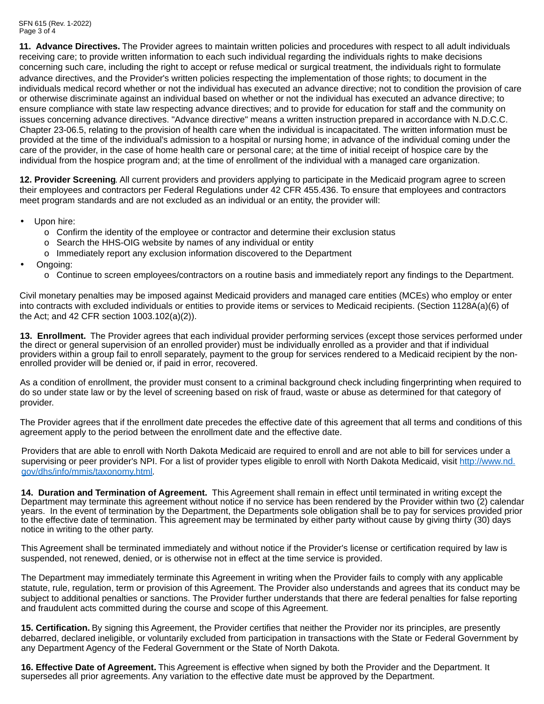11. Advance Directives. The Provider agrees to maintain written policies and procedures with respect to all adult individuals receiving care; to provide written information to each such individual regarding the individuals rights to make decisions concerning such care, including the right to accept or refuse medical or surgical treatment, the individuals right to formulate advance directives, and the Provider's written policies respecting the implementation of those rights; to document in the individuals medical record whether or not the individual has executed an advance directive; not to condition the provision of care or otherwise discriminate against an individual based on whether or not the individual has executed an advance directive; to ensure compliance with state law respecting advance directives; and to provide for education for staff and the community on issues concerning advance directives. "Advance directive" means a written instruction prepared in accordance with N.D.C.C. Chapter 23-06.5, relating to the provision of health care when the individual is incapacitated. The written information must be provided at the time of the individual's admission to a hospital or nursing home; in advance of the individual coming under the care of the provider, in the case of home health care or personal care; at the time of initial receipt of hospice care by the individual from the hospice program and; at the time of enrollment of the individual with a managed care organization.

12. Provider Screening. All current providers and providers applying to participate in the Medicaid program agree to screen their employees and contractors per Federal Regulations under 42 CFR 455.436. To ensure that employees and contractors meet program standards and are not excluded as an individual or an entity, the provider will:

- Upon hire:
	- o Confirm the identity of the employee or contractor and determine their exclusion status
	- o Search the HHS-OIG website by names of any individual or entity
	- o Immediately report any exclusion information discovered to the Department
- Ongoing:
	- o Continue to screen employees/contractors on a routine basis and immediately report any findings to the Department.

Civil monetary penalties may be imposed against Medicaid providers and managed care entities (MCEs) who employ or enter into contracts with excluded individuals or entities to provide items or services to Medicaid recipients. (Section 1128A(a)(6) of the Act; and 42 CFR section  $1003.102(a)(2)$ ).

13. Enrollment. The Provider agrees that each individual provider performing services (except those services performed under the direct or general supervision of an enrolled provider) must be individually enrolled as a provider and that if individual providers within a group fail to enroll separately, payment to the group for services rendered to a Medicaid recipient by the nonenrolled provider will be denied or, if paid in error, recovered.

As a condition of enrollment, the provider must consent to a criminal background check including fingerprinting when required to do so under state law or by the level of screening based on risk of fraud, waste or abuse as determined for that category of provider.

The Provider agrees that if the enrollment date precedes the effective date of this agreement that all terms and conditions of this agreement apply to the period between the enrollment date and the effective date.

Providers that are able to enroll with North Dakota Medicaid are required to enroll and are not able to bill for services under a supervising or peer provider's NPI. For a list of provider types eligible to enroll with North Dakota Medicaid, visit http://www.nd. gov/dhs/info/mmis/taxonomy.html.

14. Duration and Termination of Agreement. This Agreement shall remain in effect until terminated in writing except the Department may terminate this agreement without notice if no service has been rendered by the Provider within two (2) calendar years. In the event of termination by the Department, the Departments sole obligation shall be to pay for services provided prior to the effective date of termination. This agreement may be terminated by either party without cause by giving thirty (30) days notice in writing to the other party.

This Agreement shall be terminated immediately and without notice if the Provider's license or certification required by law is suspended, not renewed, denied, or is otherwise not in effect at the time service is provided.

The Department may immediately terminate this Agreement in writing when the Provider fails to comply with any applicable statute, rule, regulation, term or provision of this Agreement. The Provider also understands and agrees that its conduct may be subject to additional penalties or sanctions. The Provider further understands that there are federal penalties for false reporting and fraudulent acts committed during the course and scope of this Agreement.

15. Certification. By signing this Agreement, the Provider certifies that neither the Provider nor its principles, are presently debarred, declared ineligible, or voluntarily excluded from participation in transactions with the State or Federal Government by any Department Agency of the Federal Government or the State of North Dakota.

16. Effective Date of Agreement. This Agreement is effective when signed by both the Provider and the Department. It supersedes all prior agreements. Any variation to the effective date must be approved by the Department.